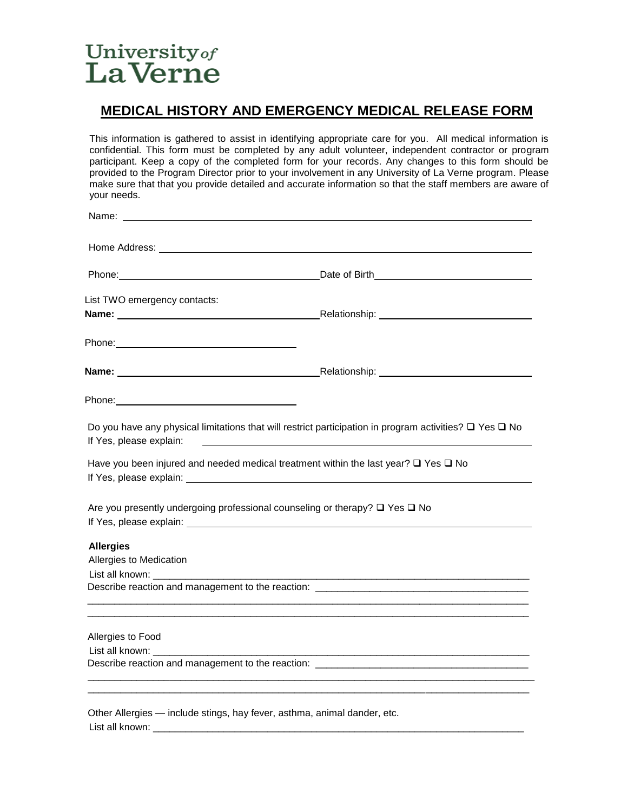# University of LaVerne

List all known: \_\_\_\_\_\_\_\_\_\_\_\_\_\_\_\_\_\_\_\_\_\_\_\_\_\_\_\_\_\_\_\_\_\_\_\_\_\_\_\_\_\_\_\_\_\_\_\_\_\_\_\_\_\_\_\_\_\_\_\_\_\_\_\_\_\_\_\_

## **MEDICAL HISTORY AND EMERGENCY MEDICAL RELEASE FORM**

This information is gathered to assist in identifying appropriate care for you. All medical information is confidential. This form must be completed by any adult volunteer, independent contractor or program participant. Keep a copy of the completed form for your records. Any changes to this form should be provided to the Program Director prior to your involvement in any University of La Verne program. Please make sure that that you provide detailed and accurate information so that the staff members are aware of your needs.

|                                                                                                                                                                                                                                      | Home Address: the contract of the contract of the contract of the contract of the contract of the contract of the contract of the contract of the contract of the contract of the contract of the contract of the contract of             |
|--------------------------------------------------------------------------------------------------------------------------------------------------------------------------------------------------------------------------------------|-------------------------------------------------------------------------------------------------------------------------------------------------------------------------------------------------------------------------------------------|
|                                                                                                                                                                                                                                      | Phone: Contract the Contract of Birth Contract of Birth Contract of Birth Contract of Birth Contract of Birth Contract of Birth Contract of Birth Contract of Birth Contract of Birth Contract of Birth Contract of Birth Cont            |
| List TWO emergency contacts:                                                                                                                                                                                                         |                                                                                                                                                                                                                                           |
|                                                                                                                                                                                                                                      |                                                                                                                                                                                                                                           |
|                                                                                                                                                                                                                                      |                                                                                                                                                                                                                                           |
|                                                                                                                                                                                                                                      |                                                                                                                                                                                                                                           |
|                                                                                                                                                                                                                                      |                                                                                                                                                                                                                                           |
| If Yes, please explain:                                                                                                                                                                                                              | Do you have any physical limitations that will restrict participation in program activities? $\Box$ Yes $\Box$ No<br><u> 2000 - Jan James James James James James James James James James James James James James James James James J</u> |
| If Yes, please explain: <u>example and the set of the set of the set of the set of the set of the set of the set of the set of the set of the set of the set of the set of the set of the set of the set of the set of the set o</u> | Have you been injured and needed medical treatment within the last year? $\square$ Yes $\square$ No                                                                                                                                       |
|                                                                                                                                                                                                                                      | Are you presently undergoing professional counseling or therapy? □ Yes □ No                                                                                                                                                               |
| <b>Allergies</b>                                                                                                                                                                                                                     |                                                                                                                                                                                                                                           |
| Allergies to Medication                                                                                                                                                                                                              |                                                                                                                                                                                                                                           |
|                                                                                                                                                                                                                                      |                                                                                                                                                                                                                                           |
| Allergies to Food                                                                                                                                                                                                                    |                                                                                                                                                                                                                                           |
| List all known: the control of the control of the control of the control of the control of the control of the c                                                                                                                      | <u> 1980 - Johann Barn, fransk politik (f. 1980)</u>                                                                                                                                                                                      |
|                                                                                                                                                                                                                                      | Describe reaction and management to the reaction: _______________________________                                                                                                                                                         |
|                                                                                                                                                                                                                                      | Other Allergies - include stings, hay fever, asthma, animal dander, etc.                                                                                                                                                                  |